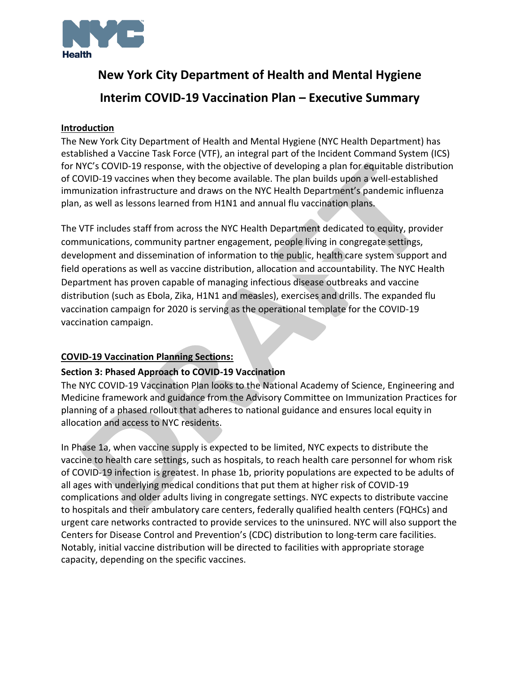

## **New York City Department of Health and Mental Hygiene**

# **Interim COVID-19 Vaccination Plan – Executive Summary**

#### **Introduction**

The New York City Department of Health and Mental Hygiene (NYC Health Department) has established a Vaccine Task Force (VTF), an integral part of the Incident Command System (ICS) for NYC's COVID-19 response, with the objective of developing a plan for equitable distribution of COVID-19 vaccines when they become available. The plan builds upon a well-established immunization infrastructure and draws on the NYC Health Department's pandemic influenza plan, as well as lessons learned from H1N1 and annual flu vaccination plans.

The VTF includes staff from across the NYC Health Department dedicated to equity, provider communications, community partner engagement, people living in congregate settings, development and dissemination of information to the public, health care system support and field operations as well as vaccine distribution, allocation and accountability. The NYC Health Department has proven capable of managing infectious disease outbreaks and vaccine distribution (such as Ebola, Zika, H1N1 and measles), exercises and drills. The expanded flu vaccination campaign for 2020 is serving as the operational template for the COVID-19 vaccination campaign.

## **COVID-19 Vaccination Planning Sections:**

## **Section 3: Phased Approach to COVID-19 Vaccination**

The NYC COVID-19 Vaccination Plan looks to the National Academy of Science, Engineering and Medicine framework and guidance from the Advisory Committee on Immunization Practices for planning of a phased rollout that adheres to national guidance and ensures local equity in allocation and access to NYC residents.

In Phase 1a, when vaccine supply is expected to be limited, NYC expects to distribute the vaccine to health care settings, such as hospitals, to reach health care personnel for whom risk of COVID-19 infection is greatest. In phase 1b, priority populations are expected to be adults of all ages with underlying medical conditions that put them at higher risk of COVID-19 complications and older adults living in congregate settings. NYC expects to distribute vaccine to hospitals and their ambulatory care centers, federally qualified health centers (FQHCs) and urgent care networks contracted to provide services to the uninsured. NYC will also support the Centers for Disease Control and Prevention's (CDC) distribution to long-term care facilities. Notably, initial vaccine distribution will be directed to facilities with appropriate storage capacity, depending on the specific vaccines.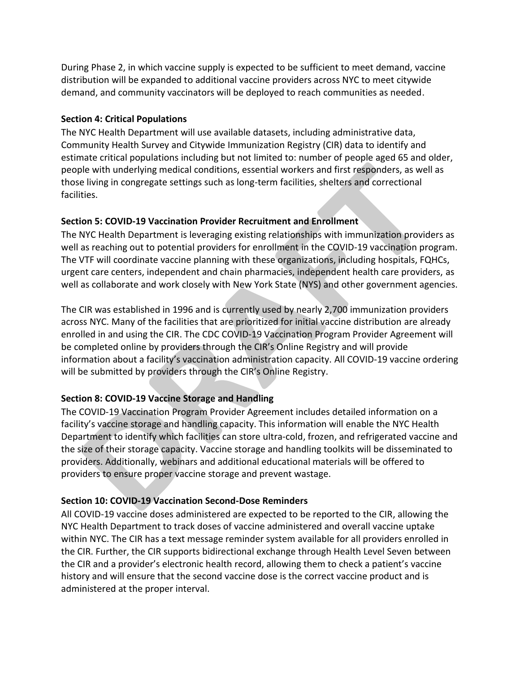During Phase 2, in which vaccine supply is expected to be sufficient to meet demand, vaccine distribution will be expanded to additional vaccine providers across NYC to meet citywide demand, and community vaccinators will be deployed to reach communities as needed.

## **Section 4: Critical Populations**

The NYC Health Department will use available datasets, including administrative data, Community Health Survey and Citywide Immunization Registry (CIR) data to identify and estimate critical populations including but not limited to: number of people aged 65 and older, people with underlying medical conditions, essential workers and first responders, as well as those living in congregate settings such as long-term facilities, shelters and correctional facilities.

## **Section 5: COVID-19 Vaccination Provider Recruitment and Enrollment**

The NYC Health Department is leveraging existing relationships with immunization providers as well as reaching out to potential providers for enrollment in the COVID-19 vaccination program. The VTF will coordinate vaccine planning with these organizations, including hospitals, FQHCs, urgent care centers, independent and chain pharmacies, independent health care providers, as well as collaborate and work closely with New York State (NYS) and other government agencies.

The CIR was established in 1996 and is currently used by nearly 2,700 immunization providers across NYC. Many of the facilities that are prioritized for initial vaccine distribution are already enrolled in and using the CIR. The CDC COVID-19 Vaccination Program Provider Agreement will be completed online by providers through the CIR's Online Registry and will provide information about a facility's vaccination administration capacity. All COVID-19 vaccine ordering will be submitted by providers through the CIR's Online Registry.

## **Section 8: COVID-19 Vaccine Storage and Handling**

The COVID-19 Vaccination Program Provider Agreement includes detailed information on a facility's vaccine storage and handling capacity. This information will enable the NYC Health Department to identify which facilities can store ultra-cold, frozen, and refrigerated vaccine and the size of their storage capacity. Vaccine storage and handling toolkits will be disseminated to providers. Additionally, webinars and additional educational materials will be offered to providers to ensure proper vaccine storage and prevent wastage.

## **Section 10: COVID-19 Vaccination Second-Dose Reminders**

All COVID-19 vaccine doses administered are expected to be reported to the CIR, allowing the NYC Health Department to track doses of vaccine administered and overall vaccine uptake within NYC. The CIR has a text message reminder system available for all providers enrolled in the CIR. Further, the CIR supports bidirectional exchange through Health Level Seven between the CIR and a provider's electronic health record, allowing them to check a patient's vaccine history and will ensure that the second vaccine dose is the correct vaccine product and is administered at the proper interval.